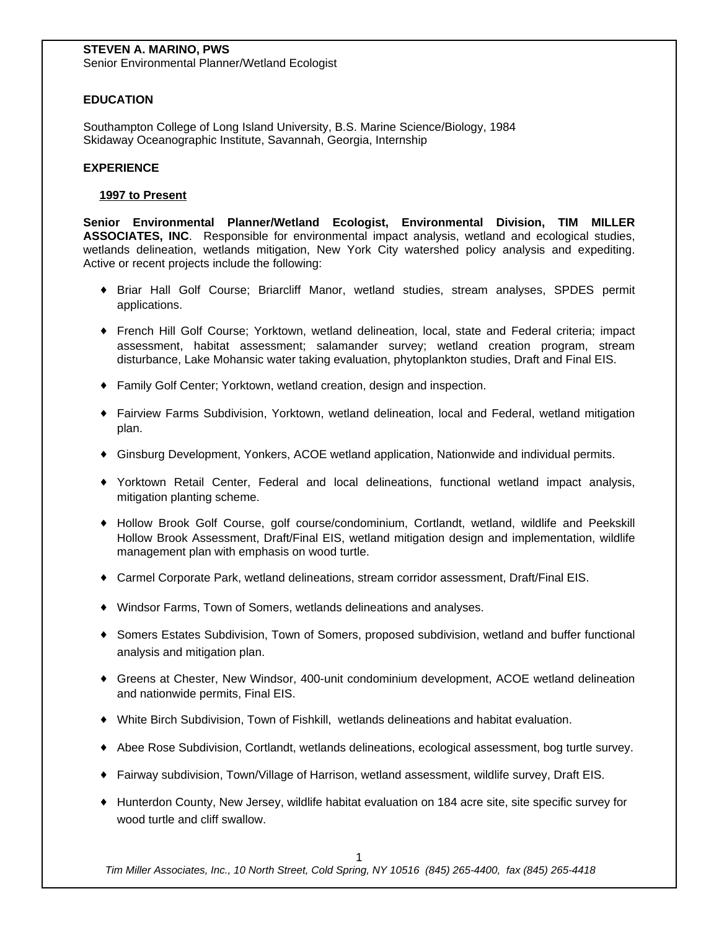# **STEVEN A. MARINO, PWS**

Senior Environmental Planner/Wetland Ecologist

# **EDUCATION**

Southampton College of Long Island University, B.S. Marine Science/Biology, 1984 Skidaway Oceanographic Institute, Savannah, Georgia, Internship

## **EXPERIENCE**

## **1997 to Present**

**Senior Environmental Planner/Wetland Ecologist, Environmental Division, TIM MILLER ASSOCIATES, INC**. Responsible for environmental impact analysis, wetland and ecological studies, wetlands delineation, wetlands mitigation, New York City watershed policy analysis and expediting. Active or recent projects include the following:

- { Briar Hall Golf Course; Briarcliff Manor, wetland studies, stream analyses, SPDES permit applications.
- { French Hill Golf Course; Yorktown, wetland delineation, local, state and Federal criteria; impact assessment, habitat assessment; salamander survey; wetland creation program, stream disturbance, Lake Mohansic water taking evaluation, phytoplankton studies, Draft and Final EIS.
- { Family Golf Center; Yorktown, wetland creation, design and inspection.
- { Fairview Farms Subdivision, Yorktown, wetland delineation, local and Federal, wetland mitigation plan.
- { Ginsburg Development, Yonkers, ACOE wetland application, Nationwide and individual permits.
- { Yorktown Retail Center, Federal and local delineations, functional wetland impact analysis, mitigation planting scheme.
- { Hollow Brook Golf Course, golf course/condominium, Cortlandt, wetland, wildlife and Peekskill Hollow Brook Assessment, Draft/Final EIS, wetland mitigation design and implementation, wildlife management plan with emphasis on wood turtle.
- { Carmel Corporate Park, wetland delineations, stream corridor assessment, Draft/Final EIS.
- { Windsor Farms, Town of Somers, wetlands delineations and analyses.
- { Somers Estates Subdivision, Town of Somers, proposed subdivision, wetland and buffer functional analysis and mitigation plan.
- { Greens at Chester, New Windsor, 400-unit condominium development, ACOE wetland delineation and nationwide permits, Final EIS.
- { White Birch Subdivision, Town of Fishkill, wetlands delineations and habitat evaluation.
- { Abee Rose Subdivision, Cortlandt, wetlands delineations, ecological assessment, bog turtle survey.
- { Fairway subdivision, Town/Village of Harrison, wetland assessment, wildlife survey, Draft EIS.
- { Hunterdon County, New Jersey, wildlife habitat evaluation on 184 acre site, site specific survey for wood turtle and cliff swallow.

1

*Tim Miller Associates, Inc., 10 North Street, Cold Spring, NY 10516 (845) 265-4400, fax (845) 265-4418*